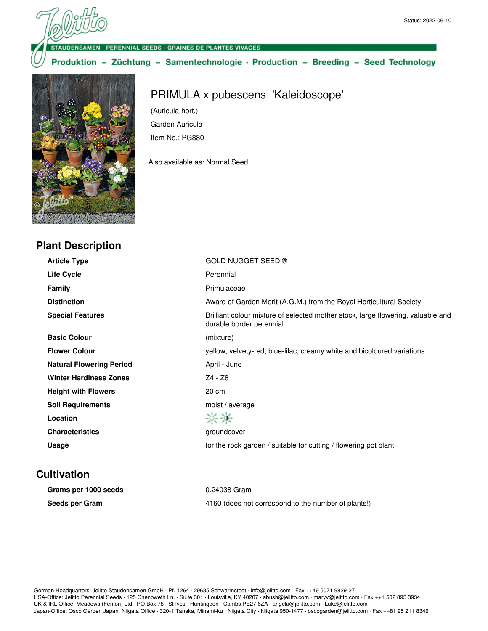· PERENNIAL SEEDS · GRAINES DE PLANTES VIVACES

Produktion - Züchtung - Samentechnologie · Production - Breeding - Seed Technology



## PRIMULA x pubescens 'Kaleidoscope'

(Auricula-hort.) Garden Auricula Item No.: PG880

Also available as: Normal Seed

| <b>Plant Description</b>        |                                                                                                               |
|---------------------------------|---------------------------------------------------------------------------------------------------------------|
| <b>Article Type</b>             | GOLD NUGGET SEED ®                                                                                            |
| <b>Life Cycle</b>               | Perennial                                                                                                     |
| <b>Family</b>                   | Primulaceae                                                                                                   |
| <b>Distinction</b>              | Award of Garden Merit (A.G.M.) from the Royal Horticultural Society.                                          |
| <b>Special Features</b>         | Brilliant colour mixture of selected mother stock, large flowering, valuable and<br>durable border perennial. |
| <b>Basic Colour</b>             | (mixture)                                                                                                     |
| <b>Flower Colour</b>            | yellow, velvety-red, blue-lilac, creamy white and bicoloured variations                                       |
| <b>Natural Flowering Period</b> | April - June                                                                                                  |
| <b>Winter Hardiness Zones</b>   | Z4 - Z8                                                                                                       |
| <b>Height with Flowers</b>      | 20 cm                                                                                                         |
| <b>Soil Requirements</b>        | moist / average                                                                                               |
| Location                        | 兴兴                                                                                                            |
| <b>Characteristics</b>          | groundcover                                                                                                   |
| Usage                           | for the rock garden / suitable for cutting / flowering pot plant                                              |

## **Cultivation**

| Grams per 1000 seeds | 0.24038 Gram                                        |
|----------------------|-----------------------------------------------------|
| Seeds per Gram       | 4160 (does not correspond to the number of plants!) |